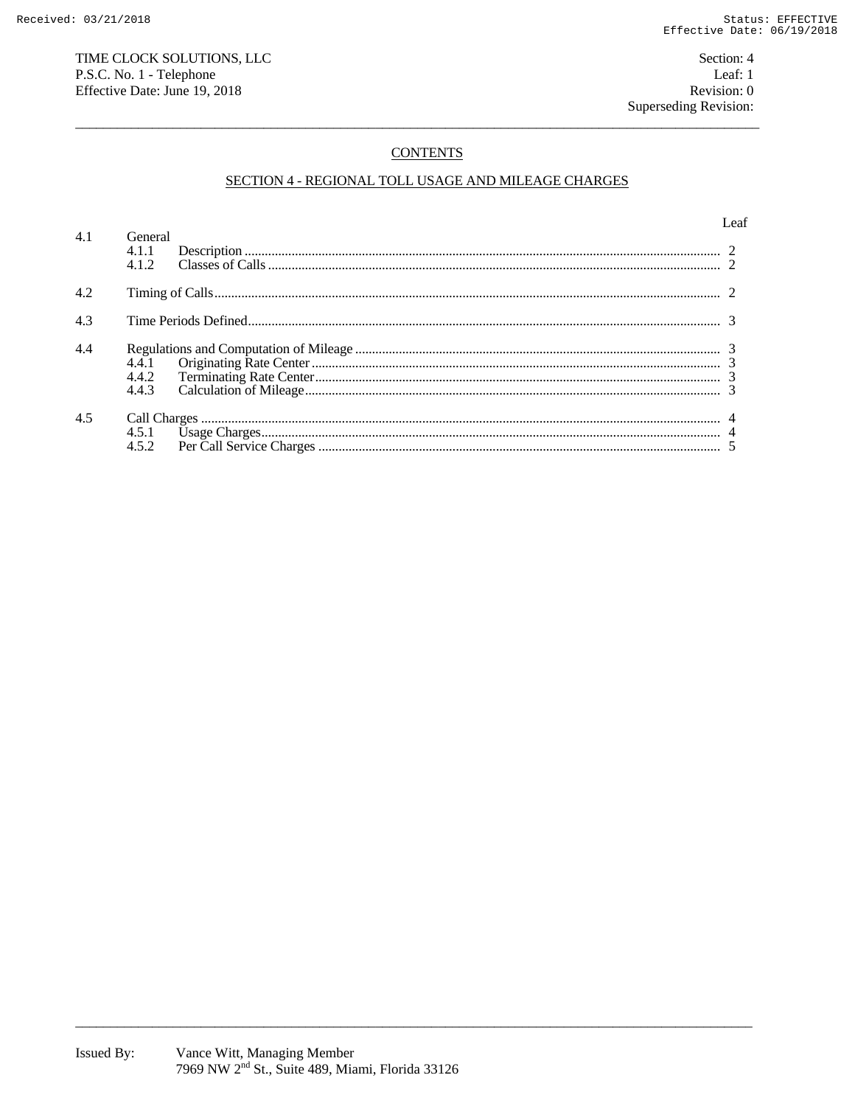## TIME CLOCK SOLUTIONS, LLC P.S.C. No. 1 - Telephone Effective Date: June 19, 2018

# **CONTENTS**

## SECTION 4 - REGIONAL TOLL USAGE AND MILEAGE CHARGES

|     |                         | eaf |
|-----|-------------------------|-----|
| 4.1 | General<br>4.1.1<br>412 |     |
| 4.2 |                         |     |
| 4.3 |                         |     |
| 4.4 |                         |     |
| 4.5 |                         |     |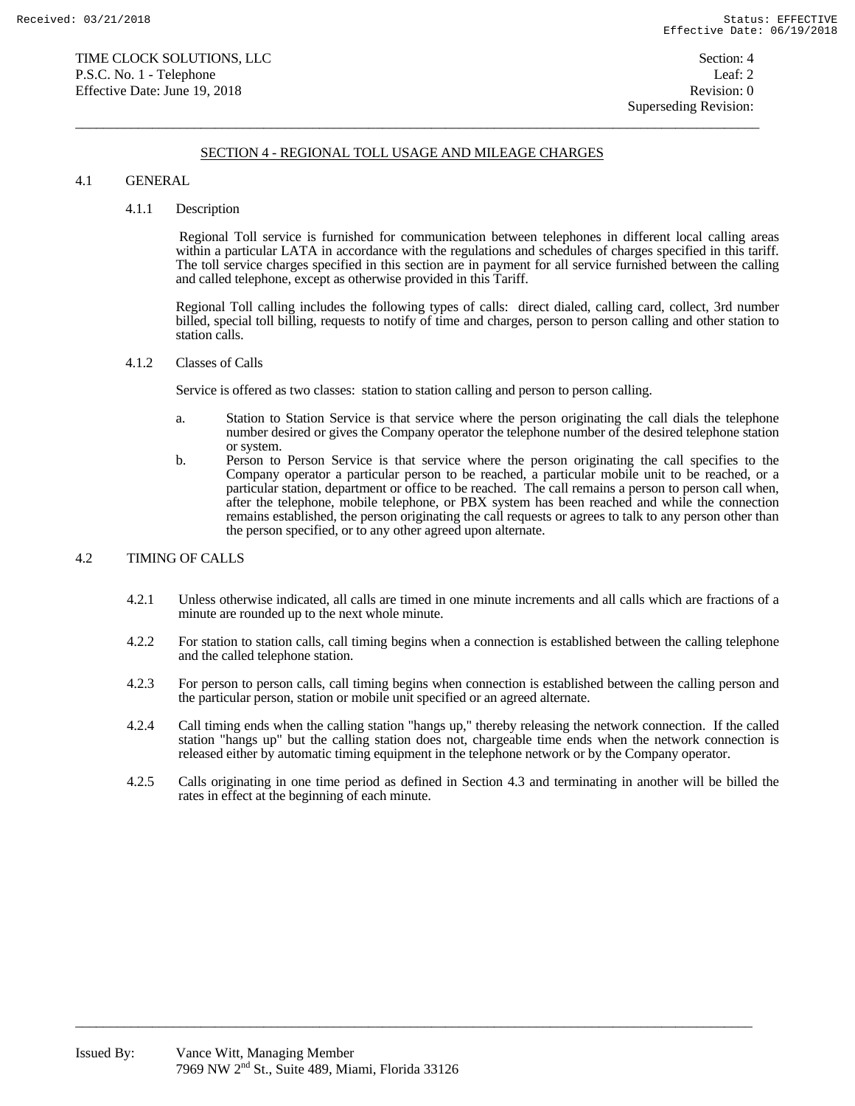### SECTION 4 - REGIONAL TOLL USAGE AND MILEAGE CHARGES

 $\overline{a}$  , and the state of the state of the state of the state of the state of the state of the state of the state of the state of the state of the state of the state of the state of the state of the state of the state o

### 4.1 GENERAL

#### 4.1.1 Description

 Regional Toll service is furnished for communication between telephones in different local calling areas within a particular LATA in accordance with the regulations and schedules of charges specified in this tariff. The toll service charges specified in this section are in payment for all service furnished between the calling and called telephone, except as otherwise provided in this Tariff.

 Regional Toll calling includes the following types of calls: direct dialed, calling card, collect, 3rd number billed, special toll billing, requests to notify of time and charges, person to person calling and other station to station calls.

### 4.1.2 Classes of Calls

Service is offered as two classes: station to station calling and person to person calling.

- a. Station to Station Service is that service where the person originating the call dials the telephone number desired or gives the Company operator the telephone number of the desired telephone station or system.
- b. Person to Person Service is that service where the person originating the call specifies to the Company operator a particular person to be reached, a particular mobile unit to be reached, or a particular station, department or office to be reached. The call remains a person to person call when, after the telephone, mobile telephone, or PBX system has been reached and while the connection remains established, the person originating the call requests or agrees to talk to any person other than the person specified, or to any other agreed upon alternate.

### 4.2 TIMING OF CALLS

- 4.2.1 Unless otherwise indicated, all calls are timed in one minute increments and all calls which are fractions of a minute are rounded up to the next whole minute.
- 4.2.2 For station to station calls, call timing begins when a connection is established between the calling telephone and the called telephone station.
- 4.2.3 For person to person calls, call timing begins when connection is established between the calling person and the particular person, station or mobile unit specified or an agreed alternate.
- 4.2.4 Call timing ends when the calling station "hangs up," thereby releasing the network connection. If the called station "hangs up" but the calling station does not, chargeable time ends when the network connection is released either by automatic timing equipment in the telephone network or by the Company operator.
- 4.2.5 Calls originating in one time period as defined in Section 4.3 and terminating in another will be billed the rates in effect at the beginning of each minute.

 $\overline{a_1}$  ,  $\overline{a_2}$  ,  $\overline{a_3}$  ,  $\overline{a_4}$  ,  $\overline{a_5}$  ,  $\overline{a_6}$  ,  $\overline{a_7}$  ,  $\overline{a_8}$  ,  $\overline{a_9}$  ,  $\overline{a_9}$  ,  $\overline{a_9}$  ,  $\overline{a_9}$  ,  $\overline{a_9}$  ,  $\overline{a_9}$  ,  $\overline{a_9}$  ,  $\overline{a_9}$  ,  $\overline{a_9}$  ,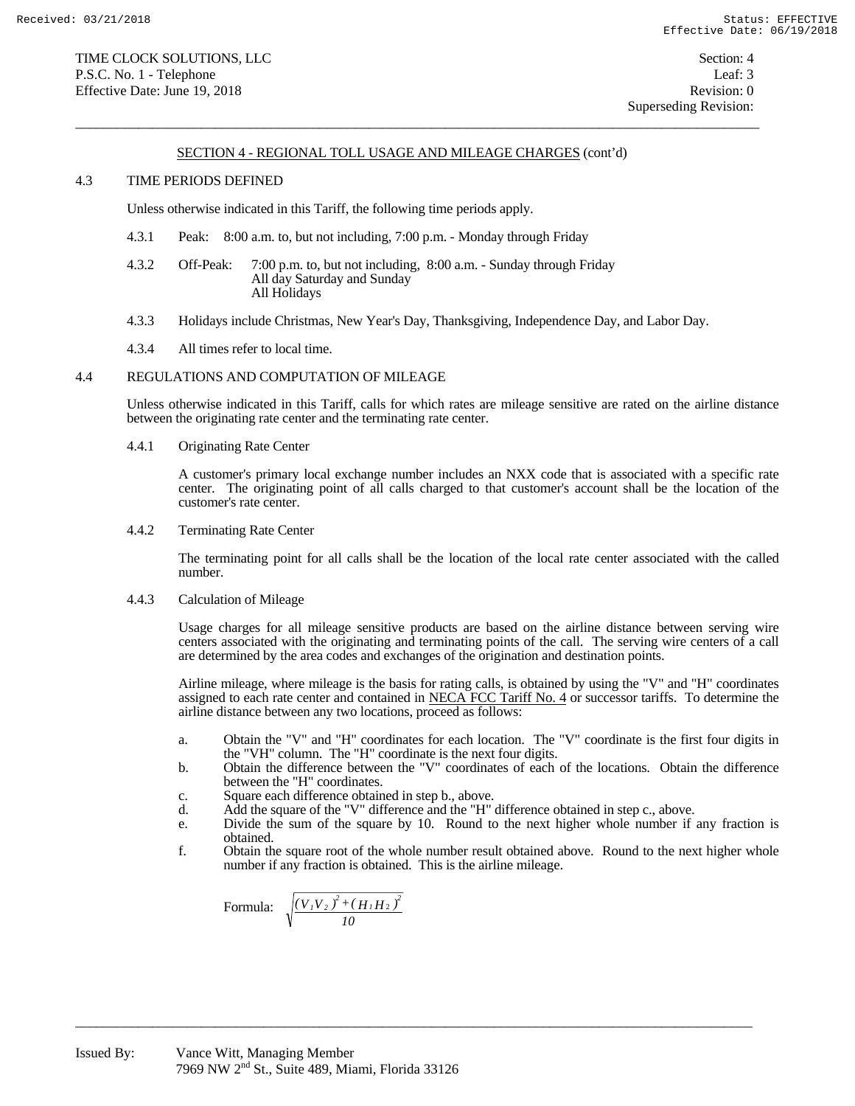### SECTION 4 - REGIONAL TOLL USAGE AND MILEAGE CHARGES (cont'd)

 $\overline{a}$  , and the state of the state of the state of the state of the state of the state of the state of the state of the state of the state of the state of the state of the state of the state of the state of the state o

### 4.3 TIME PERIODS DEFINED

Unless otherwise indicated in this Tariff, the following time periods apply.

- 4.3.1 Peak: 8:00 a.m. to, but not including, 7:00 p.m. Monday through Friday
- 4.3.2 Off-Peak: 7:00 p.m. to, but not including, 8:00 a.m. Sunday through Friday All day Saturday and Sunday All Holidays
- 4.3.3 Holidays include Christmas, New Year's Day, Thanksgiving, Independence Day, and Labor Day.
- 4.3.4 All times refer to local time.

### 4.4 REGULATIONS AND COMPUTATION OF MILEAGE

 Unless otherwise indicated in this Tariff, calls for which rates are mileage sensitive are rated on the airline distance between the originating rate center and the terminating rate center.

4.4.1 Originating Rate Center

 A customer's primary local exchange number includes an NXX code that is associated with a specific rate center. The originating point of all calls charged to that customer's account shall be the location of the customer's rate center.

4.4.2 Terminating Rate Center

 The terminating point for all calls shall be the location of the local rate center associated with the called number.

4.4.3 Calculation of Mileage

 Usage charges for all mileage sensitive products are based on the airline distance between serving wire centers associated with the originating and terminating points of the call. The serving wire centers of a call are determined by the area codes and exchanges of the origination and destination points.

 Airline mileage, where mileage is the basis for rating calls, is obtained by using the "V" and "H" coordinates assigned to each rate center and contained in NECA FCC Tariff No. 4 or successor tariffs. To determine the airline distance between any two locations, proceed as follows:

- a. Obtain the "V" and "H" coordinates for each location. The "V" coordinate is the first four digits in the "VH" column. The "H" coordinate is the next four digits.
- b. Obtain the difference between the "V" coordinates of each of the locations. Obtain the difference between the "H" coordinates.
	- c. Square each difference obtained in step b., above.
	- d. Add the square of the "V" difference and the "H" difference obtained in step c., above.

 $\overline{a_1}$  ,  $\overline{a_2}$  ,  $\overline{a_3}$  ,  $\overline{a_4}$  ,  $\overline{a_5}$  ,  $\overline{a_6}$  ,  $\overline{a_7}$  ,  $\overline{a_8}$  ,  $\overline{a_9}$  ,  $\overline{a_9}$  ,  $\overline{a_9}$  ,  $\overline{a_9}$  ,  $\overline{a_9}$  ,  $\overline{a_9}$  ,  $\overline{a_9}$  ,  $\overline{a_9}$  ,  $\overline{a_9}$  ,

- e. Divide the sum of the square by 10. Round to the next higher whole number if any fraction is obtained.
- f. Obtain the square root of the whole number result obtained above. Round to the next higher whole number if any fraction is obtained. This is the airline mileage.

 Formula: *10*  $(V_I V_2)^2 + (H_I H_2)^2$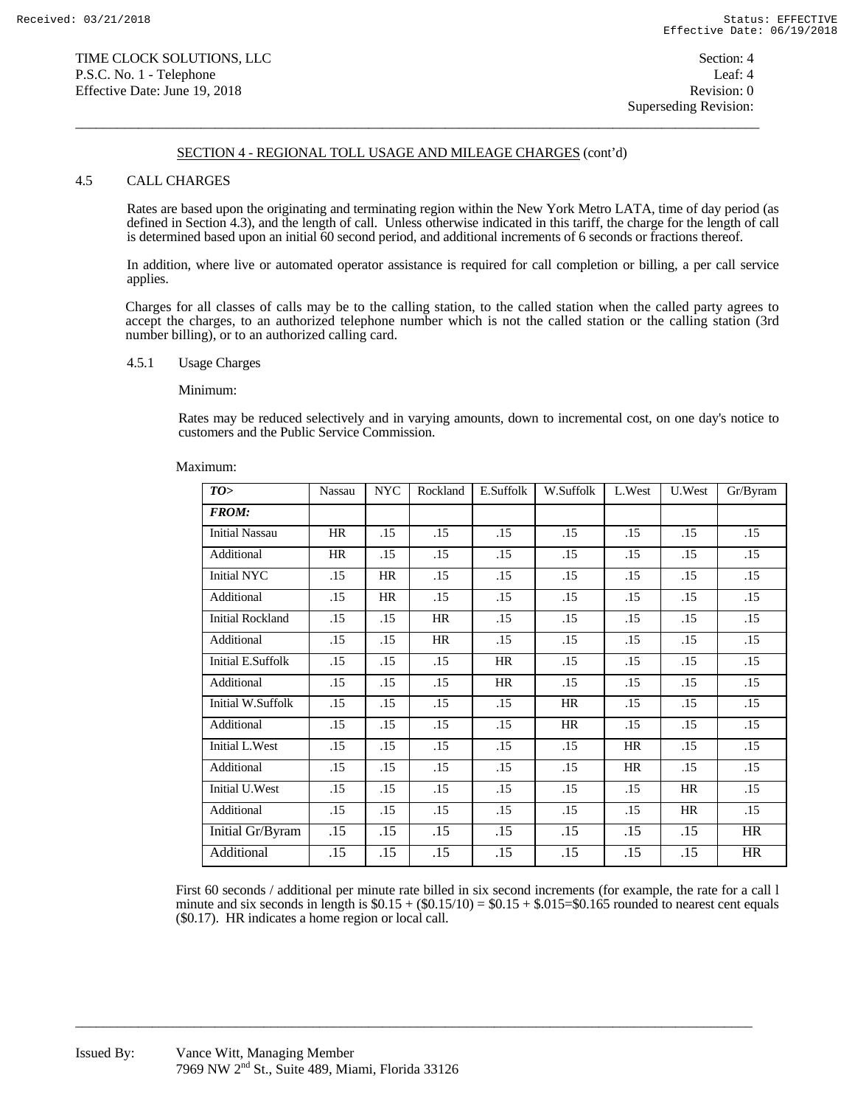### SECTION 4 - REGIONAL TOLL USAGE AND MILEAGE CHARGES (cont'd)

 $\overline{a}$  , and the state of the state of the state of the state of the state of the state of the state of the state of the state of the state of the state of the state of the state of the state of the state of the state o

### 4.5 CALL CHARGES

 Rates are based upon the originating and terminating region within the New York Metro LATA, time of day period (as defined in Section 4.3), and the length of call. Unless otherwise indicated in this tariff, the charge for the length of call is determined based upon an initial 60 second period, and additional increments of 6 seconds or fractions thereof.

 In addition, where live or automated operator assistance is required for call completion or billing, a per call service applies.

Charges for all classes of calls may be to the calling station, to the called station when the called party agrees to accept the charges, to an authorized telephone number which is not the called station or the calling station (3rd number billing), or to an authorized calling card.

#### 4.5.1 Usage Charges

#### Minimum:

 Rates may be reduced selectively and in varying amounts, down to incremental cost, on one day's notice to customers and the Public Service Commission.

#### Maximum:

| TO>                      | Nassau    | <b>NYC</b> | Rockland | E.Suffolk | W.Suffolk | L.West | U.West | Gr/Byram  |
|--------------------------|-----------|------------|----------|-----------|-----------|--------|--------|-----------|
| <b>FROM:</b>             |           |            |          |           |           |        |        |           |
| <b>Initial Nassau</b>    | <b>HR</b> | .15        | .15      | .15       | .15       | .15    | .15    | .15       |
| Additional               | HR        | .15        | .15      | .15       | .15       | .15    | .15    | .15       |
| Initial NYC              | .15       | HR         | .15      | .15       | .15       | .15    | .15    | .15       |
| Additional               | .15       | HR         | .15      | .15       | .15       | .15    | .15    | .15       |
| <b>Initial Rockland</b>  | .15       | .15        | HR       | .15       | .15       | .15    | .15    | .15       |
| Additional               | .15       | .15        | HR       | .15       | .15       | .15    | .15    | .15       |
| <b>Initial E.Suffolk</b> | .15       | .15        | .15      | HR        | .15       | .15    | .15    | .15       |
| Additional               | .15       | .15        | .15      | HR        | .15       | .15    | .15    | .15       |
| Initial W.Suffolk        | .15       | .15        | .15      | .15       | HR        | .15    | .15    | .15       |
| Additional               | .15       | .15        | .15      | .15       | HR        | .15    | .15    | .15       |
| Initial L.West           | .15       | .15        | .15      | .15       | .15       | HR     | .15    | .15       |
| Additional               | .15       | .15        | .15      | .15       | .15       | HR     | .15    | .15       |
| Initial U.West           | .15       | .15        | .15      | .15       | .15       | .15    | HR     | .15       |
| Additional               | .15       | .15        | .15      | .15       | .15       | .15    | HR     | .15       |
| Initial Gr/Byram         | .15       | .15        | .15      | .15       | .15       | .15    | .15    | <b>HR</b> |
| Additional               | .15       | .15        | .15      | .15       | .15       | .15    | .15    | <b>HR</b> |

First 60 seconds / additional per minute rate billed in six second increments (for example, the rate for a call l minute and six seconds in length is  $$0.15 + ($0.15/10) = $0.15 + $0.15 = $0.165$  rounded to nearest cent equals (\$0.17). HR indicates a home region or local call.

 $\overline{a_1}$  ,  $\overline{a_2}$  ,  $\overline{a_3}$  ,  $\overline{a_4}$  ,  $\overline{a_5}$  ,  $\overline{a_6}$  ,  $\overline{a_7}$  ,  $\overline{a_8}$  ,  $\overline{a_9}$  ,  $\overline{a_9}$  ,  $\overline{a_9}$  ,  $\overline{a_9}$  ,  $\overline{a_9}$  ,  $\overline{a_9}$  ,  $\overline{a_9}$  ,  $\overline{a_9}$  ,  $\overline{a_9}$  ,